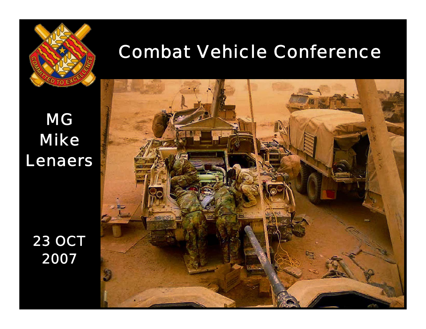

## Combat Vehicle Conference

### *MG Mike Lenaers*

*23 OCT 2007*

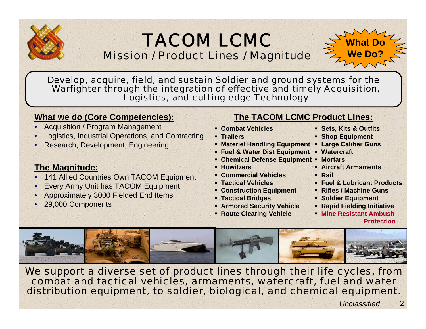#### TACOM LCMCMission / Product Lines / Magnitude



Develop, acquire, field, and sustain Soldier and ground systems for the Warfighter through the integration of effective and timely Acquisition, Logistics, and cutting-edge Technology

#### **What we do (Core Competencies):**

- Acquisition / Program Management
- Logistics, Industrial Operations, and Contracting
- Research, Development, Engineering

#### **The Magnitude:**

- 141 Allied Countries Own TACOM Equipment
- Every Army Unit has TACOM Equipment
- Approximately 3000 Fielded End Items
- 29,000 Components

#### **The TACOM LCMC Product Lines:**

- **Combat Vehicles**
- **Trailers**
- **Materiel Handling Equipment**
- **Fuel & Water Dist Equipment**
- **Chemical Defense Equipment**
- **Howitzers**
- **Commercial Vehicles**
- **Tactical Vehicles**
- **Construction Equipment**
- **Tactical Bridges**
- **Armored Security Vehicle**
- **Route Clearing Vehicle**
- **Sets, Kits & Outfits**
- **Shop Equipment**
- ۳ **Large Caliber Guns**
- **Watercraft**
- **Mortars**
- **Aircraft Armaments**
- **Rail**
- **Fuel & Lubricant Products**
- **Rifles / Machine Guns**
- **Soldier Equipment**
- **Rapid Fielding Initiative**
- **Mine Resistant AmbushProtection**



We support a diverse set of product lines through their life cycles, from combat and tactical vehicles, armaments, watercraft, fuel and water distribution equipment, to soldier, biological, and chemical equipment.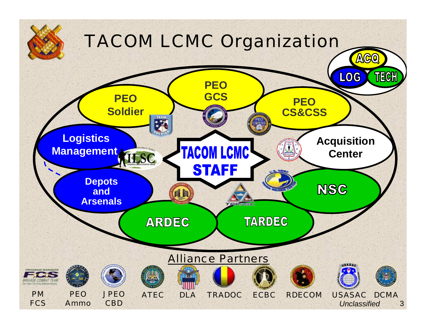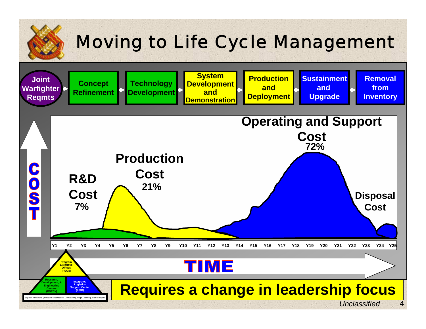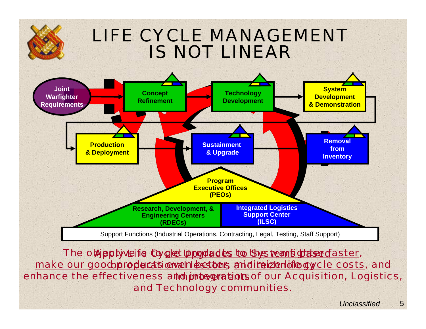### LIFE CYCLE MANAGEMENT IS NOT LINEAR



The o**bipply veits Cy<u>clet upoductes to the wanfight sedaster</u>,** make our good propler at tienven bestons and iteizen ideasy cle costs, and enhance the effectiveness a**nd integration**sof our Acquisition, Logistics, and Technology communities.

5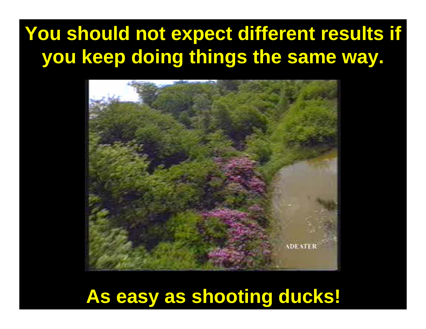# **You should not expect different results if you keep doing things the same way.**



# **As easy as shooting ducks!**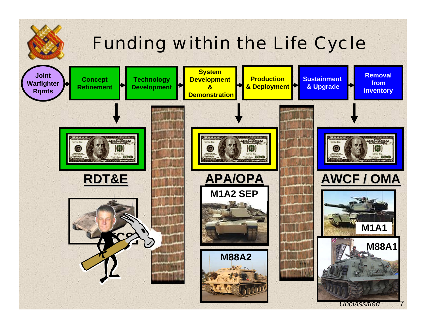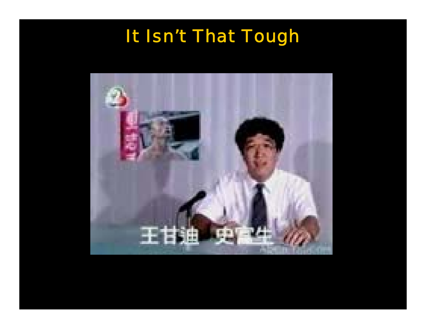# It Isn't That Tough

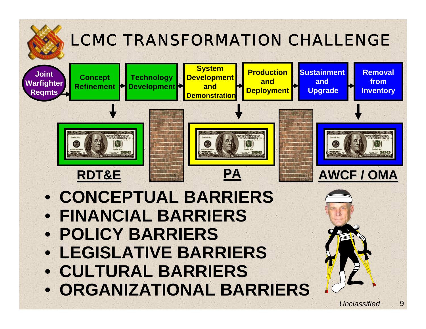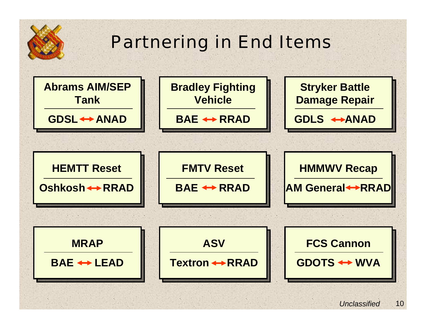# Partnering in End Items

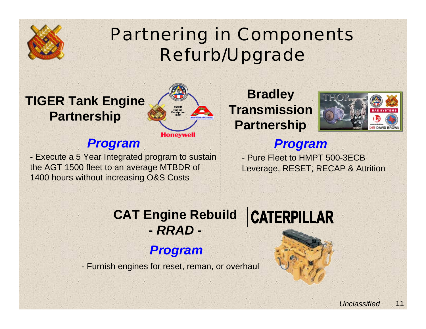

# Partnering in Components Refurb/Upgrade

### **TIGER Tank Engine Partnership**

#### *Program*

- Execute a 5 Year Integrated program to sustain the AGT 1500 fleet to an average MTBDR of 1400 hours without increasing O&S Costs

**Bradley Transmission Partnership**



#### *Program*

- Pure Fleet to HMPT 500-3ECBLeverage, RESET, RECAP & Attrition

#### **CAT Engine Rebuild -** *RRAD* **-**

**TIGEREngine Enterprise Team**

**Honeywell** 

#### *Program*

- Furnish engines for reset, reman, or overhaul

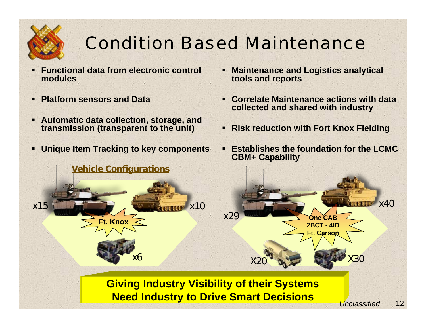

# Condition Based Maintenance

- ш **Functional data from electronic control modules**
- $\blacksquare$ **Platform sensors and Data**
- **Automatic data collection, storage, and transmission (transparent to the unit)**
- $\blacksquare$ **Unique Item Tracking to key components**
- $\blacksquare$  **Maintenance and Logistics analytical tools and reports**
- $\blacksquare$  **Correlate Maintenance actions with data collected and shared with industry**
- **Risk reduction with Fort Knox Fielding**
- $\blacksquare$  **Establishes the foundation for the LCMC CBM+ Capability**



#### **Giving Industry Visibility of their Systems Need Industry to Drive Smart Decisions** *Unclassified*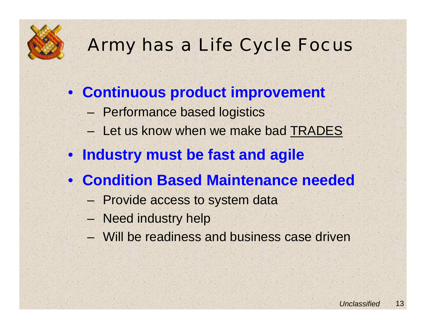

# Army has a Life Cycle Focus

- **Continuous product improvement**
	- Performance based logistics
	- Let us know when we make bad TRADES
- **Industry must be fast and agile**
- **Condition Based Maintenance needed**
	- Provide access to system data
	- Need industry help
	- Will be readiness and business case driven